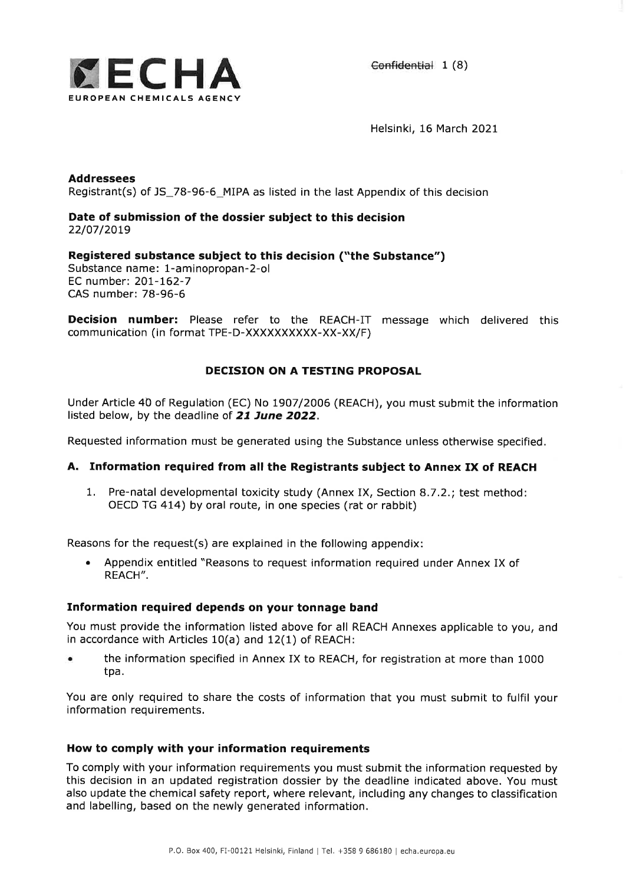

Helsinki, 16 March 2021

Addressees Registrant(s) of JS\_78-96-6\_MIPA as listed in the last Appendix of this decision

## Date of submission of the dossier subject to this decision 22/07/2019

# Registered substance subject to this decision ("the Substance")

Substance name: 1-aminopropan-2-ol EC number: 2O7-762-7 CAS number: 78-96-6

**Decision number:** Please refer to the REACH-IT message which delivered this communication (in format TPE-D-XXXXXXXXXX-XX-XX/F)

# DECISION ON A TESTING PROPOSAL

Under Article 40 of Regulation (EC) No I9O7/2006 (REACH), you must submit the information listed below, by the deadline of 21 June 2022.

Requested information must be generated using the Substance unless otherwise specified.

### A. Information required from all the Registrants subject to Annex IX of REACH

1. Pre-natal developmental toxicity study (Annex IX, Section 8.7.2.; test method: OECD TG 414) by oral route, in one species (rat or rabbit)

Reasons for the request(s) are explained in the following appendix:

r Appendix entitled "Reasons to request information required under Annex IX of REACH".

# Information required depends on your tonnage band

You must provide the information listed above for all REACH Annexes applicable to you, and in accordance with Articles 10(a) and 12(1) of REACH:

. the information specified in Annex IX to REACH, for registration at more than <sup>1000</sup> tpa.

You are only required to share the costs of information that you must submit to fulfil your information requirements.

#### How to comply with your information requirements

To comply with your information requirements you must submit the information requested by this decision in an updated registration dossier by the deadline indicated above. You must also update the chemical safety report, where relevant, including any changes to classification and labelling, based on the newly generated information.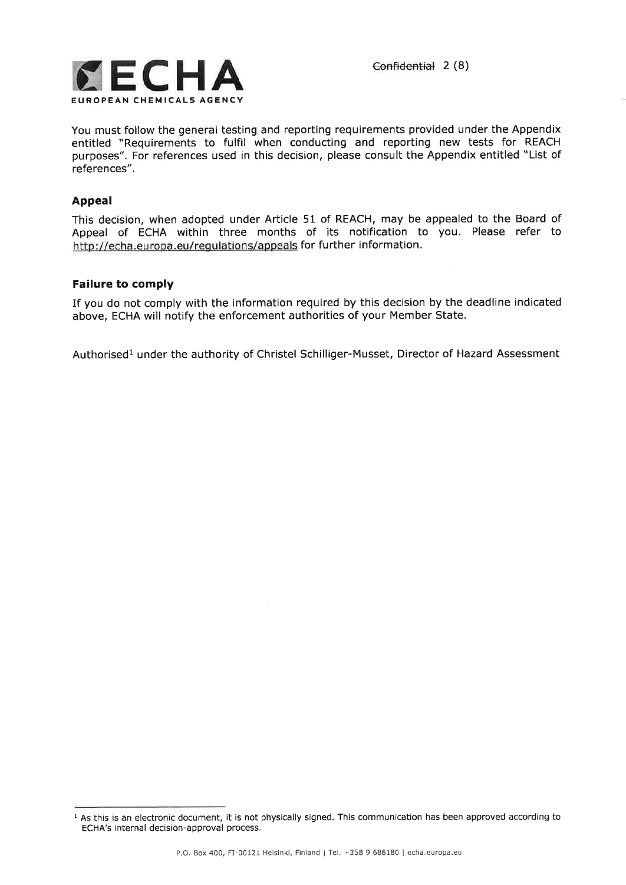

You must follow the general testing and reporting requirements provided under the Appendix entitled "Requirements to fulfil when conducting and reporting new tests for REACH purposes". For references used in this decision, please consult the Appendix entitled "List of references",

# Appeal

This decision, when adopted under Article 51 of REACH, may be appealed to the Board of Appeal of ECHA within three months of its notification to you. Please refer to http://echa.europa.eu/regulations/appeals for further information.

# Failure to comply

If you do not comply with the information required by this decision by the deadline indicated above, ECHA will notify the enforcement authorities of your Member State.

Authorised<sup>1</sup> under the authority of Christel Schilliger-Musset, Director of Hazard Assessment

 $1$  As this is an electronic document, it is not physically signed. This communication has been approved according to ECHA's internal decision-approval process.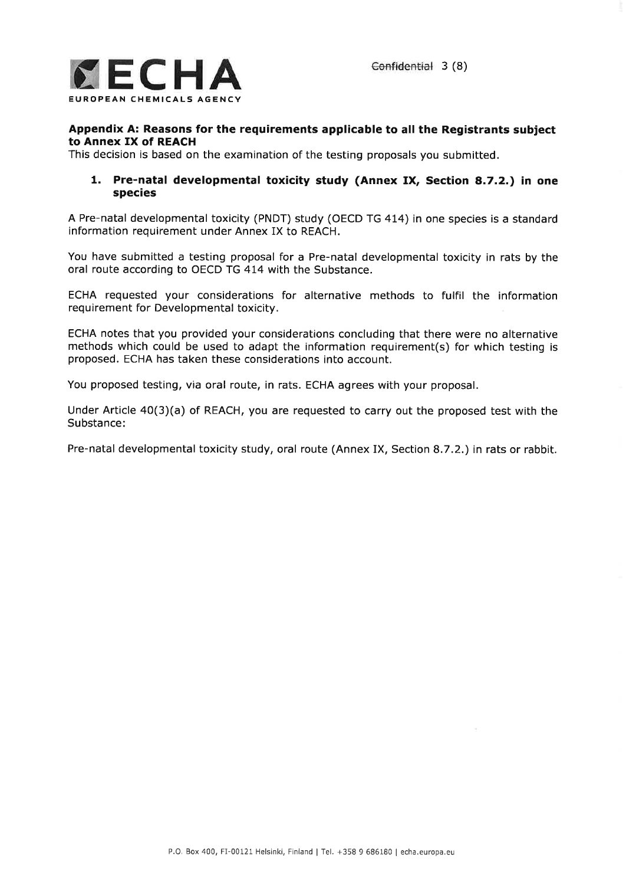

### Appendix A: Reasons for the requirements applicable to all the Registrants subject to Annex IX of REACH

This decision is based on the examination of the testing proposals you submitted.

### 1. Pre-natal developmental toxicity study (Annex IX, Section a.7.2.) in one species

A Pre-natal developmental toxicity (PNDT) study (OECD TG 4I4) in one species is a standard information requirement under Annex IX to REACH.

You have submitted a testing proposal for a Pre-natal developmental toxicity in rats by the oral route according to OECD TG 414 with the Substance.

ECHA requested your considerations for alternative methods to fulfil the information requirement for Developmental toxicity,

ECHA notes that you provided your considerations concluding that there were no alternative methods which could be used to adapt the information requirement(s) for which testing is proposed. ECHA has taken these considerations into account.

You proposed testing, via oral route, in rats. ECHA agrees with your proposal.

Under Article a0(3)(a) of REACH, you are requested to carry out the proposed test with the Substance:

Pre-natal developmental toxicity study, oral route (Annex IX, Section 8.7.2.) in rats or rabbit.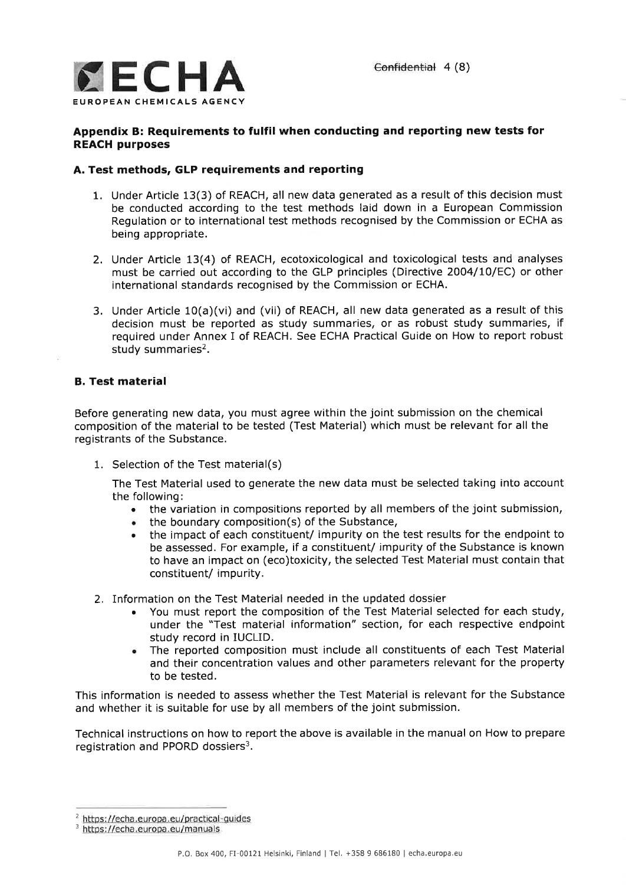

# Appendix B: Requirements to fulfil when conducting and reporting new tests for REACH purposes

# A. Test methods, GLP requirements and reporting

- 1. Under Article 13(3) of REACH, all new data generated as a result of this decision must be conducted according to the test methods laid down in a European Commission Regulation or to international test methods recognised by the Commission or ECHA as being appropriate.
- 2. Under Article 13(4) of REACH, ecotoxicological and toxicological tests and analyses must be carried out according to the GLP principles (Directive 2004/10/EC) or other international standards recognised by the Commission or ECHA.
- 3. Under Article 10(a)(vi) and (vii) of REACH, all new data generated as a result of this decision must be reported as study summaries, or as robust study summaries, if required under Annex I of REACH. See ECHA Practical Guide on How to report robust study summaries $2$ .

# B. Test material

Before generating new data, you must agree within the joint submission on the chemical composition of the material to be tested (Test Material) which must be relevant for all the registrants of the Substance.

1. Selection of the Test material(s)

The Test Material used to generate the new data must be selected taking into account the following:

- . the variation in compositions reported by all members of the joint submission,
- . the boundary composition(s) of the Substance,
- . the impact of each constituent/ impurity on the test results for the endpoint to be assessed. For example, if a constituent/ impurity of the Substance is known to have an impact on (eco)toxicity, the selected Test Material must contain that constituent/ impurity.
- 2. Information on the Test Material needed in the updated dossier
	- . You must report the composition of the Test Material selected for each study, under the "Test material information" section, for each respective endpoint study record in IUCLID.
	- . The reported composition must include all constituents of each Test Material and their concentration values and other parameters relevant for the property to be tested.

This information is needed to assess whether the Test Material is relevant for the Substance and whether it is suitable for use by all members of the joint submission.

Technical instructions on how to report the above is available in the manual on How to prepare registration and PPORD dossiers<sup>3</sup>.

<sup>&</sup>lt;sup>2</sup> https://echa.europa.eu/practical-guides

<sup>&</sup>lt;sup>3</sup> https://echa.europa.eu/manuals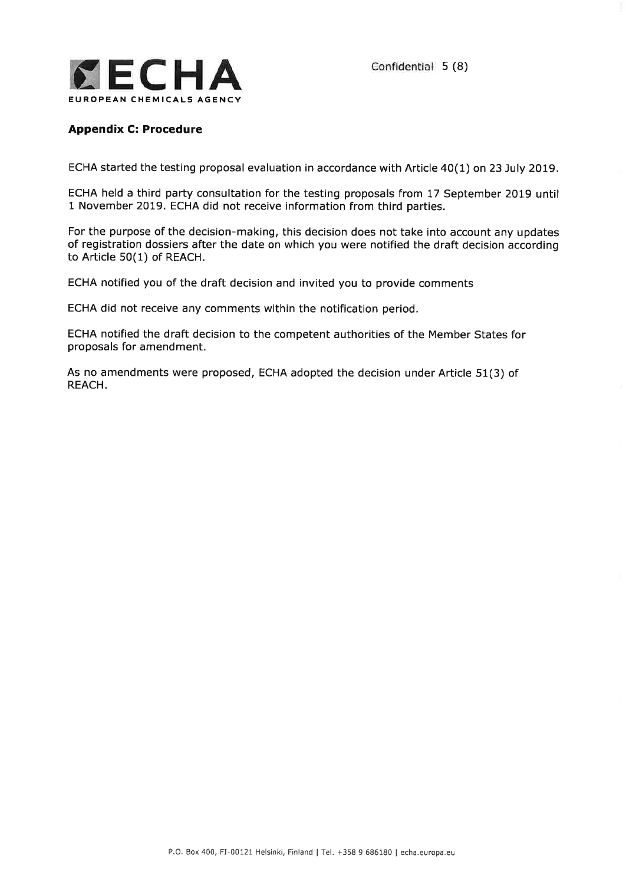

# Appendix C: Procedure

ECHA started the testing proposal evaluation in accordance with Article 40(1) on 23 July 2019,

ECHA held a third party consultation for the testing proposals from 17 September 2019 until 1 November 2OI9. ECHA did not receive information from third parties.

For the purpose of the decision-making, this decision does not take into account any updates of registration dossiers after the date on which you were notified the draft decision according to Article 50(1) of REACH.

ECHA notified you of the draft decision and invited you to provide comments

ECHA did not receive any comments within the notification period.

ECHA notified the draft decision to the competent authorities of the Member States for proposals for amendment.

As no amendments were proposed, ECHA adopted the decision under Article 51(3) of REACH.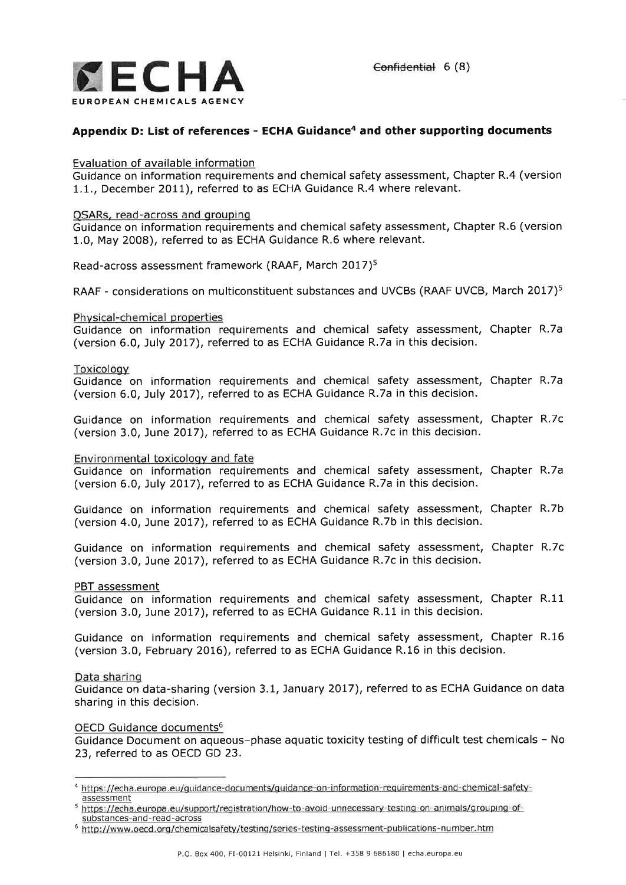

# Appendix D: List of references - ECHA Guidance<sup>4</sup> and other supporting documents

## Evaluation of available information

Guidance on information requirements and chemical safety assessment, Chapter R.4 (version 1.1., December 2011), referred to as ECHA Guidance R.4 where relevant.

### QSARs, read-across and qrouping

Guidance on information requirements and chemical safety assessment, Chapter R.6 (version 1.0, May 2008), referred to as ECHA Guidance R.6 where relevant.

Read-across assessment framework (RAAF, March 2017)<sup>5</sup>

RAAF - considerations on multiconstituent substances and UVCBs (RAAF UVCB, March 2017)<sup>5</sup>

### Phvsical-chemical properties

Guidance on information requirements and chemical safety assessment, Chapter R.7a (version 6.0, July 2017), referred to as ECHA Guidance R.7a in this decision.

### Toxicology

Guidance on information requirements and chemical safety assessment, Chapter R,7a (version 6.0, July 2077), referred to as ECHA Guidance R,7a in this decision.

Guidance on information requirements and chemical safety assessment, Chapter R.7c (version 3.0, June 2Ol7), referred to as ECHA Guidance R.7c in this decision.

### Environmental toxicology and fate

Guidance on information requirements and chemical safety assessment, Chapter R.7a (version 6.0, July 2Ol7), referred to as ECHA Guidance R.7a in this decision.

Guidance on information requirements and chemical safety assessment, Chapter R.7b (version 4.0, June 2017), referred to as ECHA Guidance R.7b in this decision.

Guidance on information requirements and chemical safety assessment, Chapter R.7c (version 3.0, June 2Ol7), referred to as ECHA Guidance R.7c in this decision.

#### PBT assessment

Guidance on information requirements and chemical safety assessment, Chapter R.11 (version 3.0, June 2OI7), referred to as ECHA Guidance R.11 in this decision.

Guidance on information requirements and chemical safety assessment, Chapter R.16 (version 3,0, February 2O16), referred to as ECHA Guidance R,16 in this decision.

### Data sharing

Guidance on data-sharing (version 3.1, January 2OI7), referred to as ECHA Guidance on data sharing in this decision.

### OECD Guidance documents<sup>6</sup>

Guidance Document on aqueous-phase aquatic toxicity testing of difficult test chemicals - No 23, referred to as OECD GD 23.

<sup>4</sup>https://echa.eurooa.eu/ouidance-documents/guidance-on-information-requirements-and-chemical-safetyassessment

s https://echa.europa.eu/support/registration/how-to-avoid-unnecessary-testino-on-animals/grouping-ofsubstances-and-read-across

<sup>6</sup>http://www.oecd.org/chemicalsafety/testing/series-testing-assessment-publications-number.htm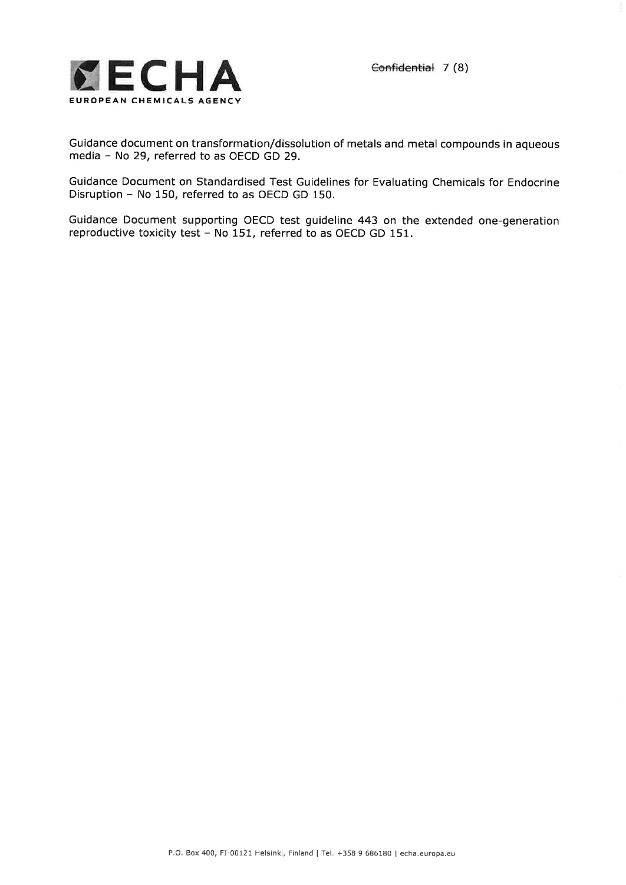

Guidance document on transformation/dissolution of metals and metal compounds in aqueous media - No 29, referred to as OECD GD 29.

Guidance Document on Standardised Test Guidelines for Evaluating Chemicals for Endocrine Disruption - No 150, referred to as OECD GD 150.

Guidance Document supporting OECD test guideline 443 on the extended one-generation reproductive toxicity test - No 151, referred to as OECD GD 151.